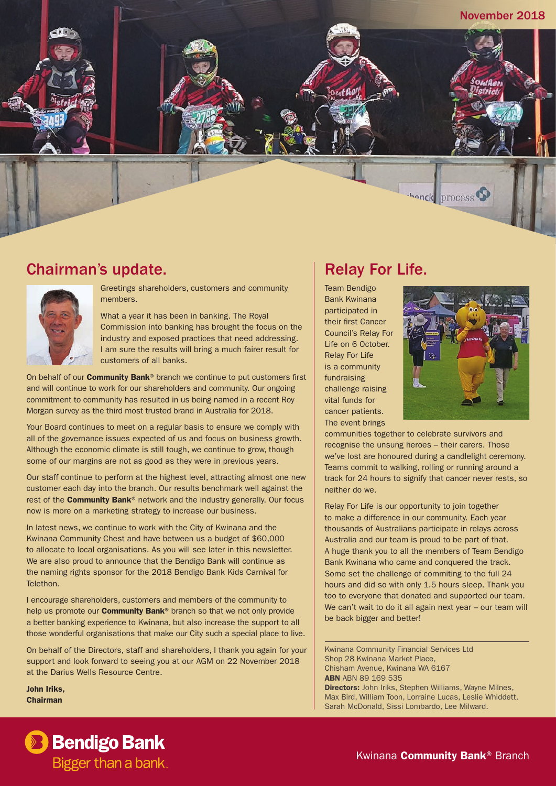

### Chairman's update.



Greetings shareholders, customers and community members.

What a year it has been in banking. The Royal Commission into banking has brought the focus on the industry and exposed practices that need addressing. I am sure the results will bring a much fairer result for customers of all banks.

On behalf of our **Community Bank®** branch we continue to put customers first and will continue to work for our shareholders and community. Our ongoing commitment to community has resulted in us being named in a recent Roy Morgan survey as the third most trusted brand in Australia for 2018.

Your Board continues to meet on a regular basis to ensure we comply with all of the governance issues expected of us and focus on business growth. Although the economic climate is still tough, we continue to grow, though some of our margins are not as good as they were in previous years.

Our staff continue to perform at the highest level, attracting almost one new customer each day into the branch. Our results benchmark well against the rest of the **Community Bank**<sup>®</sup> network and the industry generally. Our focus now is more on a marketing strategy to increase our business.

In latest news, we continue to work with the City of Kwinana and the Kwinana Community Chest and have between us a budget of \$60,000 to allocate to local organisations. As you will see later in this newsletter. We are also proud to announce that the Bendigo Bank will continue as the naming rights sponsor for the 2018 Bendigo Bank Kids Carnival for Telethon.

I encourage shareholders, customers and members of the community to help us promote our **Community Bank**<sup>®</sup> branch so that we not only provide a better banking experience to Kwinana, but also increase the support to all those wonderful organisations that make our City such a special place to live.

On behalf of the Directors, staff and shareholders, I thank you again for your support and look forward to seeing you at our AGM on 22 November 2018 at the Darius Wells Resource Centre.

John Iriks, Chairman

## Relay For Life.

Team Bendigo Bank Kwinana participated in their first Cancer Council's Relay For Life on 6 October. Relay For Life is a community fundraising challenge raising vital funds for cancer patients. The event brings



communities together to celebrate survivors and recognise the unsung heroes – their carers. Those we've lost are honoured during a candlelight ceremony. Teams commit to walking, rolling or running around a track for 24 hours to signify that cancer never rests, so neither do we.

Relay For Life is our opportunity to join together to make a difference in our community. Each year thousands of Australians participate in relays across Australia and our team is proud to be part of that. A huge thank you to all the members of Team Bendigo Bank Kwinana who came and conquered the track. Some set the challenge of commiting to the full 24 hours and did so with only 1.5 hours sleep. Thank you too to everyone that donated and supported our team. We can't wait to do it all again next year – our team will be back bigger and better!

Kwinana Community Financial Services Ltd Shop 28 Kwinana Market Place, Chisham Avenue, Kwinana WA 6167 **ABN ABN 89 169 535** Directors: John Iriks, Stephen Williams, Wayne Milnes, Max Bird, William Toon, Lorraine Lucas, Leslie Whiddett, Sarah McDonald, Sissi Lombardo, Lee Milward.



Kwinana **Community Bank®** Branch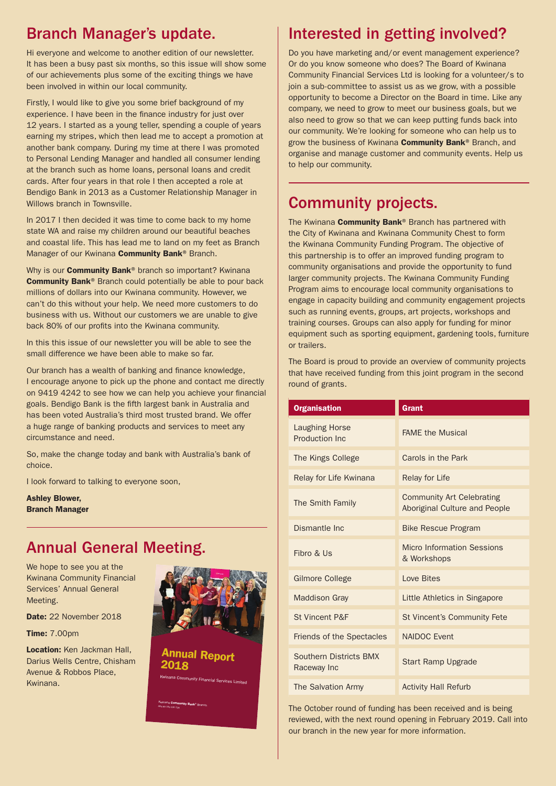## Branch Manager's update.

Hi everyone and welcome to another edition of our newsletter. It has been a busy past six months, so this issue will show some of our achievements plus some of the exciting things we have been involved in within our local community.

Firstly, I would like to give you some brief background of my experience. I have been in the finance industry for just over 12 years. I started as a young teller, spending a couple of years earning my stripes, which then lead me to accept a promotion at another bank company. During my time at there I was promoted to Personal Lending Manager and handled all consumer lending at the branch such as home loans, personal loans and credit cards. After four years in that role I then accepted a role at Bendigo Bank in 2013 as a Customer Relationship Manager in Willows branch in Townsville.

In 2017 I then decided it was time to come back to my home state WA and raise my children around our beautiful beaches and coastal life. This has lead me to land on my feet as Branch Manager of our Kwinana **Community Bank®** Branch.

Why is our **Community Bank®** branch so important? Kwinana Community Bank® Branch could potentially be able to pour back millions of dollars into our Kwinana community. However, we can't do this without your help. We need more customers to do business with us. Without our customers we are unable to give back 80% of our profits into the Kwinana community.

In this this issue of our newsletter you will be able to see the small difference we have been able to make so far.

Our branch has a wealth of banking and finance knowledge, I encourage anyone to pick up the phone and contact me directly on 9419 4242 to see how we can help you achieve your financial goals. Bendigo Bank is the fifth largest bank in Australia and has been voted Australia's third most trusted brand. We offer a huge range of banking products and services to meet any circumstance and need.

So, make the change today and bank with Australia's bank of choice.

I look forward to talking to everyone soon,

Ashley Blower, Branch Manager

### Annual General Meeting.

We hope to see you at the Kwinana Community Financial Services' Annual General Meeting.

Date: 22 November 2018

Time: 7.00pm

Location: Ken Jackman Hall. Darius Wells Centre, Chisham Avenue & Robbos Place, Kwinana.



Annual Report 2018 .<br>Nity Fina

Kwinana **Community Bank®** Branch ABN 89 169 535 228

# Interested in getting involved?

Do you have marketing and/or event management experience? Or do you know someone who does? The Board of Kwinana Community Financial Services Ltd is looking for a volunteer/s to join a sub-committee to assist us as we grow, with a possible opportunity to become a Director on the Board in time. Like any company, we need to grow to meet our business goals, but we also need to grow so that we can keep putting funds back into our community. We're looking for someone who can help us to grow the business of Kwinana **Community Bank**® Branch, and organise and manage customer and community events. Help us to help our community.

# Community projects.

The Kwinana **Community Bank**® Branch has partnered with the City of Kwinana and Kwinana Community Chest to form the Kwinana Community Funding Program. The objective of this partnership is to offer an improved funding program to community organisations and provide the opportunity to fund larger community projects. The Kwinana Community Funding Program aims to encourage local community organisations to engage in capacity building and community engagement projects such as running events, groups, art projects, workshops and training courses. Groups can also apply for funding for minor equipment such as sporting equipment, gardening tools, furniture or trailers.

The Board is proud to provide an overview of community projects that have received funding from this joint program in the second round of grants.

| <b>Organisation</b>                      | <b>Grant</b>                                                      |
|------------------------------------------|-------------------------------------------------------------------|
| <b>Laughing Horse</b><br>Production Inc. | <b>FAME the Musical</b>                                           |
| The Kings College                        | Carols in the Park                                                |
| Relay for Life Kwinana                   | <b>Relay for Life</b>                                             |
| The Smith Family                         | <b>Community Art Celebrating</b><br>Aboriginal Culture and People |
| Dismantle Inc.                           | <b>Bike Rescue Program</b>                                        |
| Fibro & Us                               | <b>Micro Information Sessions</b><br>& Workshops                  |
| <b>Gilmore College</b>                   | Love Bites                                                        |
| <b>Maddison Gray</b>                     | Little Athletics in Singapore                                     |
| St Vincent P&F                           | <b>St Vincent's Community Fete</b>                                |
| <b>Friends of the Spectacles</b>         | <b>NAIDOC Event</b>                                               |
| Southern Districts BMX<br>Raceway Inc    | <b>Start Ramp Upgrade</b>                                         |
| The Salvation Army                       | <b>Activity Hall Refurb</b>                                       |

The October round of funding has been received and is being reviewed, with the next round opening in February 2019. Call into our branch in the new year for more information.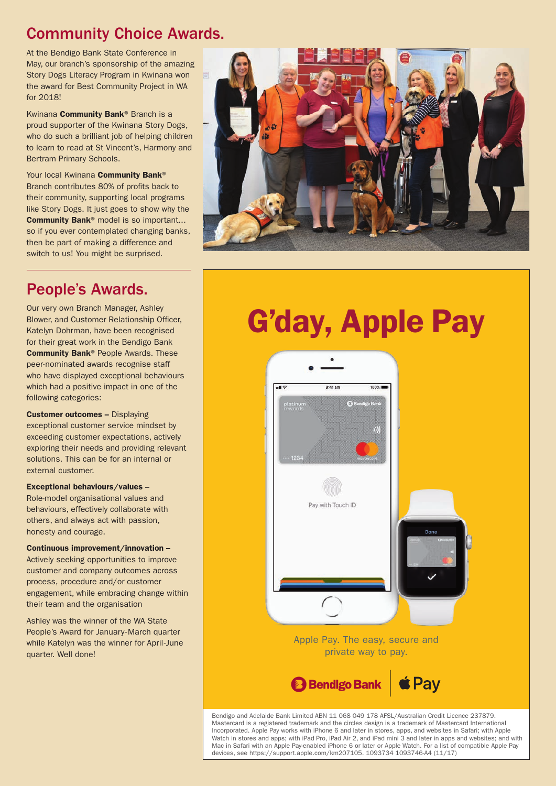### Community Choice Awards.

At the Bendigo Bank State Conference in May, our branch's sponsorship of the amazing Story Dogs Literacy Program in Kwinana won the award for Best Community Project in WA for 2018!

Kwinana Community Bank® Branch is a proud supporter of the Kwinana Story Dogs, who do such a brilliant job of helping children to learn to read at St Vincent's, Harmony and Bertram Primary Schools.

Your local Kwinana Community Bank® Branch contributes 80% of profits back to their community, supporting local programs like Story Dogs. It just goes to show why the Community Bank® model is so important... so if you ever contemplated changing banks, then be part of making a difference and switch to us! You might be surprised.



Our very own Branch Manager, Ashley Blower, and Customer Relationship Officer, Katelyn Dohrman, have been recognised for their great work in the Bendigo Bank Community Bank® People Awards. These peer-nominated awards recognise staff who have displayed exceptional behaviours which had a positive impact in one of the following categories:

Customer outcomes – Displaying exceptional customer service mindset by exceeding customer expectations, actively exploring their needs and providing relevant solutions. This can be for an internal or external customer.

#### Exceptional behaviours/values –

Role-model organisational values and behaviours, effectively collaborate with others, and always act with passion, honesty and courage.

Continuous improvement/innovation – Actively seeking opportunities to improve customer and company outcomes across process, procedure and/or customer engagement, while embracing change within their team and the organisation

Ashley was the winner of the WA State People's Award for January-March quarter while Katelyn was the winner for April-June quarter. Well done!



# G'day, Apple Pay



Mastercard is a registered trademark and the circles design is a trademark of Mastercard International Incorporated. Apple Pay works with iPhone 6 and later in stores, apps, and websites in Safari; with Apple Watch in stores and apps; with iPad Pro, iPad Air 2, and iPad mini 3 and later in apps and websites; and with Mac in Safari with an Apple Pay-enabled iPhone 6 or later or Apple Watch. For a list of compatible Apple Pay devices, see https://support.apple.com/km207105. 1093734 1093746-A4 (11/17)